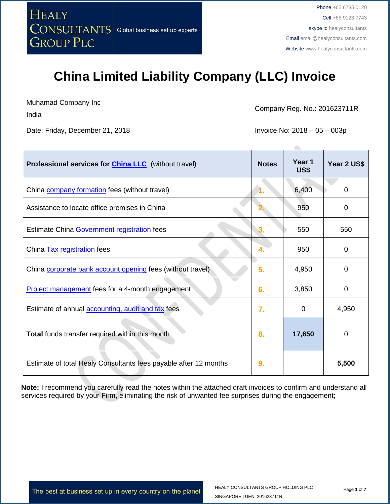

Muhamad Company Inc

India

Date: Friday, December 21, 2018 **Invoice No: 2018** - 05 – 003p

Company Reg. No.: 201623711R

| <b>Professional services for China LLC</b> (without travel)      | <b>Notes</b> | Year 1<br>US\$ | Year 2 US\$ |
|------------------------------------------------------------------|--------------|----------------|-------------|
| China company formation fees (without travel)                    |              | 6,400          | 0           |
| Assistance to locate office premises in China                    |              | 950            | 0           |
| Estimate China Government registration fees                      |              | 550            | 550         |
| China <b>Tax registration</b> fees                               |              | 950            | 0           |
| China corporate bank account opening fees (without travel)       | 5.           | 4,950          | 0           |
| <b>Project management</b> fees for a 4-month engagement          | 6.           | 3,850          | 0           |
| Estimate of annual <b>accounting</b> , audit and tax fees        | 7.           | 0              | 4,950       |
| <b>Total</b> funds transfer required within this month           | 8.           | 17,650         | 0           |
| Estimate of total Healy Consultants fees payable after 12 months | 9.           |                | 5,500       |

**Note:** I recommend you carefully read the notes within the attached draft invoices to confirm and understand all services required by your Firm, eliminating the risk of unwanted fee surprises during the engagement;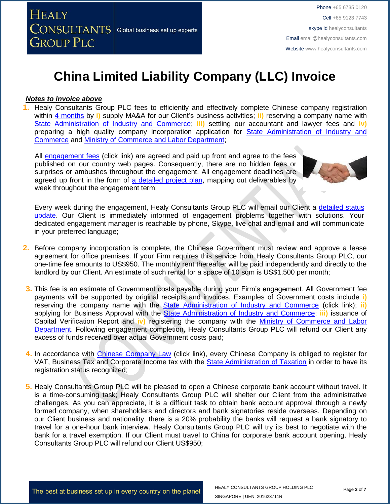

#### *Notes to invoice above*

**1.** Healy Consultants Group PLC fees to efficiently and effectively complete Chinese company registration within [4 months](http://www.healyconsultants.com/china-company-registration/fees-timelines/) by **i)** supply MA&A for our Client's business activities; **ii)** reserving a company name with [State Administration of Industry and Commerce;](http://www.saic.gov.cn/english/) **iii)** settling our accountant and lawyer fees and **iv)** preparing a high quality company incorporation application for [State Administration of Industry and](http://www.saic.gov.cn/english/)  [Commerce](http://www.saic.gov.cn/english/) and [Ministry of Commerce and Labor Department;](http://english.mofcom.gov.cn/aarticle/policyrelease/internationalpolicy/200703/20070304475283.html)

All [engagement fees](http://www.healyconsultants.com/company-registration-fees/) (click link) are agreed and paid up front and agree to the fees published on our country web pages. Consequently, there are no hidden fees or surprises or ambushes throughout the engagement. All engagement deadlines are agreed up front in the form of [a detailed project plan,](http://www.healyconsultants.com/index-important-links/example-project-plan/) mapping out deliverables by week throughout the engagement term;



Every week during the engagement, Healy Consultants Group PLC will email our Client a [detailed status](http://www.healyconsultants.com/index-important-links/weekly-engagement-status-email/)  [update.](http://www.healyconsultants.com/index-important-links/weekly-engagement-status-email/) Our Client is immediately informed of engagement problems together with solutions. Your dedicated engagement manager is reachable by phone, Skype, live chat and email and will communicate in your preferred language;

- **2.** Before company incorporation is complete, the Chinese Government must review and approve a lease agreement for office premises. If your Firm requires this service from Healy Consultants Group PLC, our one-time fee amounts to US\$950. The monthly rent thereafter will be paid independently and directly to the landlord by our Client. An estimate of such rental for a space of 10 sqm is US\$1,500 per month;
- **3.** This fee is an estimate of Government costs payable during your Firm's engagement. All Government fee payments will be supported by original receipts and invoices. Examples of Government costs include **i)** reserving the company name with the [State Administration of Industry and Commerce](http://www.saic.gov.cn/english/) (click link); **ii)** applying for Business Approval with the [State Administration of Industry and Commerce;](http://www.saic.gov.cn/english/) **iii)** issuance of Capital Verification Report and **iv)** registering the company with the [Ministry of Commerce and Labor](http://english.mofcom.gov.cn/aarticle/policyrelease/internationalpolicy/200703/20070304475283.html)  [Department.](http://english.mofcom.gov.cn/aarticle/policyrelease/internationalpolicy/200703/20070304475283.html) Following engagement completion, Healy Consultants Group PLC will refund our Client any excess of funds received over actual Government costs paid;
- **4.** In accordance with [Chinese Company Law](http://www.china.org.cn/government/laws/2007-06/06/content_1207345.htm) (click link), every Chinese Company is obliged to register for VAT, Business Tax and Corporate Income tax with the [State Administration of Taxation](http://www.chinatax.gov.cn/2013/n2925/) in order to have its registration status recognized;
- **5.** Healy Consultants Group PLC will be pleased to open a Chinese corporate bank account without travel. It is a time-consuming task; Healy Consultants Group PLC will shelter our Client from the administrative challenges. As you can appreciate, it is a difficult task to obtain bank account approval through a newly formed company, when shareholders and directors and bank signatories reside overseas. Depending on our Client business and nationality, there is a 20% probability the banks will request a bank signatory to travel for a one-hour bank interview. Healy Consultants Group PLC will try its best to negotiate with the bank for a travel exemption. If our Client must travel to China for corporate bank account opening, Healy Consultants Group PLC will refund our Client US\$950;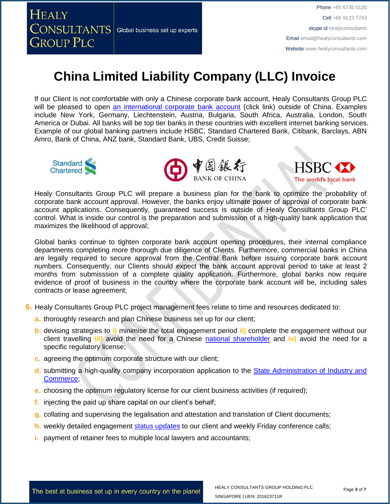

If our Client is not comfortable with only a Chinese corporate bank account, Healy Consultants Group PLC will be pleased to open [an international corporate bank account](http://www.healyconsultants.com/international-banking/) (click link) outside of China. Examples include New York, Germany, Liechtenstein, Austria, Bulgaria, South Africa, Australia, London, South America or Dubai. All banks will be top tier banks in these countries with excellent internet banking services. Example of our global banking partners include HSBC, Standard Chartered Bank, Citibank, Barclays, ABN Amro, Bank of China, ANZ bank, Standard Bank, UBS, Credit Suisse;







Healy Consultants Group PLC will prepare a business plan for the bank to optimize the probability of corporate bank account approval. However, the banks enjoy ultimate power of approval of corporate bank account applications. Consequently, guaranteed success is outside of Healy Consultants Group PLC' control. What is inside our control is the preparation and submission of a high-quality bank application that maximizes the likelihood of approval;

Global banks continue to tighten corporate bank account opening procedures, their internal compliance departments completing more thorough due diligence of Clients. Furthermore, commercial banks in China are legally required to secure approval from the Central Bank before issuing corporate bank account numbers. Consequently, our Clients should expect the bank account approval period to take at least 2 months from submisssion of a complete quality application. Furthermore, global banks now require evidence of proof of business in the country where the corporate bank account will be, including sales contracts or lease agreement;

- **6.** Healy Consultants Group PLC project management fees relate to time and resources dedicated to:
	- **a.** thoroughly research and plan Chinese business set up for our client;
	- **b.** devising strategies to **i)** minimise the total engagement period **ii)** complete the engagement without our client travelling **iii)** avoid the need for a Chinese national [shareholder](http://www.healyconsultants.com/corporate-advisory-services/nominee-shareholders-directors/national-shareholder-services/) and **iv)** avoid the need for a specific regulatory license;
	- **c.** agreeing the optimum corporate structure with our client;
	- **d.** submitting a high-quality company incorporation application to the [State Administration of Industry and](http://www.saic.gov.cn/english/)  [Commerce;](http://www.saic.gov.cn/english/)
	- **e.** choosing the optimum regulatory license for our client business activities (if required);
	- **f.** injecting the paid up share capital on our client's behalf;
	- **g.** collating and supervising the legalisation and attestation and translation of Client documents;
	- **h.** weekly detailed engagement [status updates](http://www.healyconsultants.com/index-important-links/weekly-engagement-status-email/) to our client and weekly Friday conference calls;
	- **i.** payment of retainer fees to multiple local lawyers and accountants;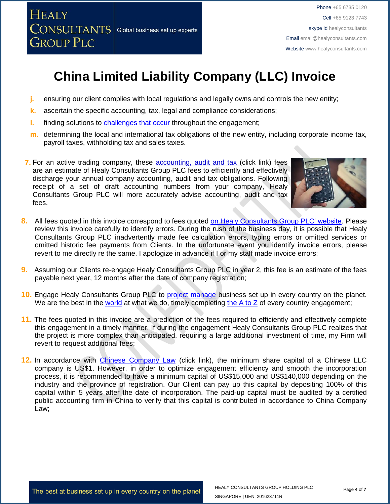

- **j.** ensuring our client complies with local regulations and legally owns and controls the new entity;
- **k.** ascertain the specific accounting, tax, legal and compliance considerations;
- **l.** finding solutions to [challenges that occur](http://www.healyconsultants.com/engagement-project-management/) throughout the engagement;
- **m.** determining the local and international tax obligations of the new entity, including corporate income tax, payroll taxes, withholding tax and sales taxes.
- **7.** For an active trading company, these [accounting, audit](http://www.healyconsultants.com/china-company-registration/accounting-legal/) and tax (click link) fees are an estimate of Healy Consultants Group PLC fees to efficiently and effectively discharge your annual company accounting, audit and tax obligations. Following receipt of a set of draft accounting numbers from your company, Healy Consultants Group PLC will more accurately advise accounting, audit and tax fees.



- 8. All fees quoted in this invoice correspond to fees quoted [on Healy Consultants Group PLC' website.](http://www.healyconsultants.com/company-registration-fees/) Please review this invoice carefully to identify errors. During the rush of the business day, it is possible that Healy Consultants Group PLC inadvertently made fee calculation errors, typing errors or omitted services or omitted historic fee payments from Clients. In the unfortunate event you identify invoice errors, please revert to me directly re the same. I apologize in advance if I or my staff made invoice errors;
- **9.** Assuming our Clients re-engage Healy Consultants Group PLC in year 2, this fee is an estimate of the fees payable next year, 12 months after the date of company registration;
- **10.** Engage Healy Consultants Group PLC to [project manage](http://www.healyconsultants.com/project-manage-engagements/) business set up in every country on the planet. We are the best in the [world](http://www.healyconsultants.com/best-in-the-world/) at what we do, timely completing the  $A$  to  $Z$  of every country engagement;
- **11.** The fees quoted in this invoice are a prediction of the fees required to efficiently and effectively complete this engagement in a timely manner. If during the engagement Healy Consultants Group PLC realizes that the project is more complex than anticipated, requiring a large additional investment of time, my Firm will revert to request additional fees;
- 12. In accordance with [Chinese Company Law](http://www.china.org.cn/government/laws/2007-06/06/content_1207345.htm) (click link), the minimum share capital of a Chinese LLC company is US\$1. However, in order to optimize engagement efficiency and smooth the incorporation process, it is recommended to have a minimum capital of US\$15,000 and US\$140,000 depending on the industry and the province of registration. Our Client can pay up this capital by depositing 100% of this capital within 5 years after the date of incorporation. The paid-up capital must be audited by a certified public accounting firm in China to verify that this capital is contributed in accordance to China Company Law;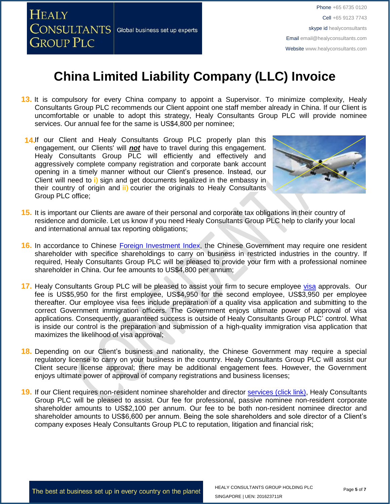

- **13.** It is compulsory for every China company to appoint a Supervisor. To minimize complexity, Healy Consultants Group PLC recommends our Client appoint one staff member already in China. If our Client is uncomfortable or unable to adopt this strategy, Healy Consultants Group PLC will provide nominee services. Our annual fee for the same is US\$4,800 per nominee;
- 14.If our Client and Healy Consultants Group PLC properly plan this engagement, our Clients' will *not* have to travel during this engagement. Healy Consultants Group PLC will efficiently and effectively and aggressively complete company registration and corporate bank account opening in a timely manner without our Client's presence. Instead, our Client will need to **i)** sign and get documents legalized in the embassy in their country of origin and **ii)** courier the originals to Healy Consultants Group PLC office;



- **15.** It is important our Clients are aware of their personal and corporate tax obligations in their country of residence and domicile. Let us know if you need Healy Consultants Group PLC help to clarify your local and international annual tax reporting obligations;
- **16.** In accordance to Chinese [Foreign Investment Index,](http://www.ndrc.gov.cn/zcfb/zcfbl/201503/W020150402620481787669.pdf) the Chinese Government may require one resident shareholder with specifice shareholdings to carry on business in restricted industries in the country. If required, Healy Consultants Group PLC will be pleased to provide your firm with a professional nominee shareholder in China. Our fee amounts to US\$4,800 per annum;
- **17.** Healy Consultants Group PLC will be pleased to assist your firm to secure employee [visa](http://www.healyconsultants.com/china-company-registration/formation-support-services/) approvals. Our fee is US\$5,950 for the first employee, US\$4,950 for the second employee, US\$3,950 per employee thereafter. Our employee visa fees include preparation of a quality visa application and submitting to the correct Government immigration officers. The Government enjoys ultimate power of approval of visa applications. Consequently, guaranteed success is outside of Healy Consultants Group PLC' control. What is inside our control is the preparation and submission of a high-quality immigration visa application that maximizes the likelihood of visa approval;
- **18.** Depending on our Client's business and nationality, the Chinese Government may require a special regulatory license to carry on your business in the country. Healy Consultants Group PLC will assist our Client secure license approval; there may be additional engagement fees. However, the Government enjoys ultimate power of approval of company registrations and business licenses;
- **19.** If our Client requires non-resident nominee shareholder and director [services \(click link\),](http://www.healyconsultants.com/corporate-outsourcing-services/nominee-shareholders-directors/) Healy Consultants Group PLC will be pleased to assist. Our fee for professional, passive nominee non-resident corporate shareholder amounts to US\$2,100 per annum. Our fee to be both non-resident nominee director and shareholder amounts to US\$6,600 per annum. Being the sole shareholders and sole director of a Client's company exposes Healy Consultants Group PLC to reputation, litigation and financial risk;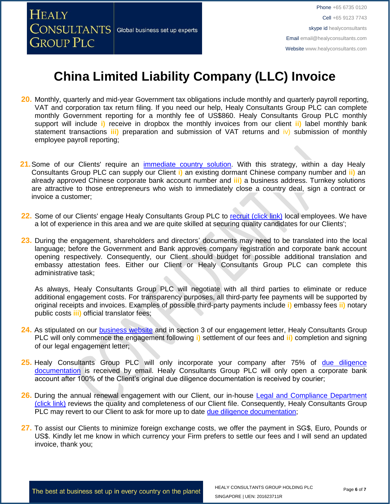

- **20.** Monthly, quarterly and mid-year Government tax obligations include monthly and quarterly payroll reporting, VAT and corporation tax return filing. If you need our help, Healy Consultants Group PLC can complete monthly Government reporting for a monthly fee of US\$860. Healy Consultants Group PLC monthly support will include **i)** receive in dropbox the monthly invoices from our client **ii)** label monthly bank statement transactions **iii)** preparation and submission of VAT returns and iv) submission of monthly employee payroll reporting;
- 21. Some of our Clients' require an *immediate country solution*. With this strategy, within a day Healy Consultants Group PLC can supply our Client **i)** an existing dormant Chinese company number and **ii)** an already approved Chinese corporate bank account number and **iii)** a business address. Turnkey solutions are attractive to those entrepreneurs who wish to immediately close a country deal, sign a contract or invoice a customer;
- 22. Some of our Clients' engage Healy Consultants Group PLC to [recruit \(click link\)](http://www.healyconsultants.com/corporate-outsourcing-services/how-we-help-our-clients-recruit-quality-employees/) local employees. We have a lot of experience in this area and we are quite skilled at securing quality candidates for our Clients';
- **23.** During the engagement, shareholders and directors' documents may need to be translated into the local language; before the Government and Bank approves company registration and corporate bank account opening respectively. Consequently, our Client should budget for possible additional translation and embassy attestation fees. Either our Client or Healy Consultants Group PLC can complete this administrative task;

As always, Healy Consultants Group PLC will negotiate with all third parties to eliminate or reduce additional engagement costs. For transparency purposes, all third-party fee payments will be supported by original receipts and invoices. Examples of possible third-party payments include **i)** embassy fees **ii)** notary public costs **iii)** official translator fees;

- **24.** As stipulated on our [business website](http://www.healyconsultants.com/) and in section 3 of our engagement letter, Healy Consultants Group PLC will only commence the engagement following **i)** settlement of our fees and **ii)** completion and signing of our legal engagement letter;
- 25. Healy Consultants Group PLC will only incorporate your company after 75% of due diligence [documentation](http://www.healyconsultants.com/due-diligence/) is received by email. Healy Consultants Group PLC will only open a corporate bank account after 100% of the Client's original due diligence documentation is received by courier;
- 26. During the annual renewal engagement with our Client, our in-house Legal and Compliance Department [\(click link\)](http://www.healyconsultants.com/about-us/key-personnel/cai-xin-profile/) reviews the quality and completeness of our Client file. Consequently, Healy Consultants Group PLC may revert to our Client to ask for more up to date [due diligence documentation;](http://www.healyconsultants.com/due-diligence/)
- **27.** To assist our Clients to minimize foreign exchange costs, we offer the payment in SG\$, Euro, Pounds or US\$. Kindly let me know in which currency your Firm prefers to settle our fees and I will send an updated invoice, thank you;